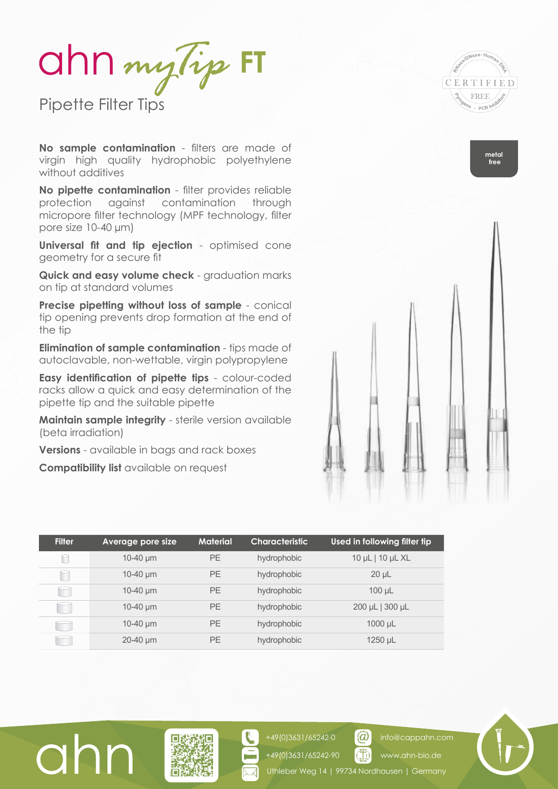ahn my lip FT

Pipette Filter Tips

**No sample contamination** - filters are made of virgin high quality hydrophobic polyethylene without additives

**No pipette contamination** - filter provides reliable protection against contamination through micropore filter technology (MPF technology, filter pore size 10-40 µm)

**Universal fit and tip ejection** - optimised cone geometry for a secure fit

**Quick and easy volume check** - graduation marks on tip at standard volumes

**Precise pipetting without loss of sample** - conical tip opening prevents drop formation at the end of the tip

**Elimination of sample contamination** - tips made of autoclavable, non-wettable, virgin polypropylene

**Easy identification of pipette tips** - colour-coded racks allow a quick and easy determination of the pipette tip and the suitable pipette

**Maintain sample integrity** - sterile version available (beta irradiation)

**Versions** - available in bags and rack boxes

**Compatibility list** available on request

| <b>Filter</b> | Average pore size | <b>Material</b> | <b>Characteristic</b> | Used in following filter tip |
|---------------|-------------------|-----------------|-----------------------|------------------------------|
| Г             | $10-40 \mu m$     | <b>PE</b>       | hydrophobic           | 10 µL   10 µL XL             |
| п             | $10-40 \mu m$     | <b>PE</b>       | hydrophobic           | $20 \mu L$                   |
| m             | $10-40 \mu m$     | <b>PE</b>       | hydrophobic           | $100 \mu L$                  |
|               | $10-40 \mu m$     | <b>PE</b>       | hydrophobic           | 200 µL   300 µL              |
|               | $10-40 \mu m$     | <b>PE</b>       | hydrophobic           | $1000 \mu L$                 |
|               | $20-40 \mu m$     | <b>PE</b>       | hydrophobic           | $1250 \mu L$                 |



**metal free**



info@cappahn.com www.ahn-bio.de





 $\omega$ 

+49(0)3631/65242-0 +49(0)3631/65242-90